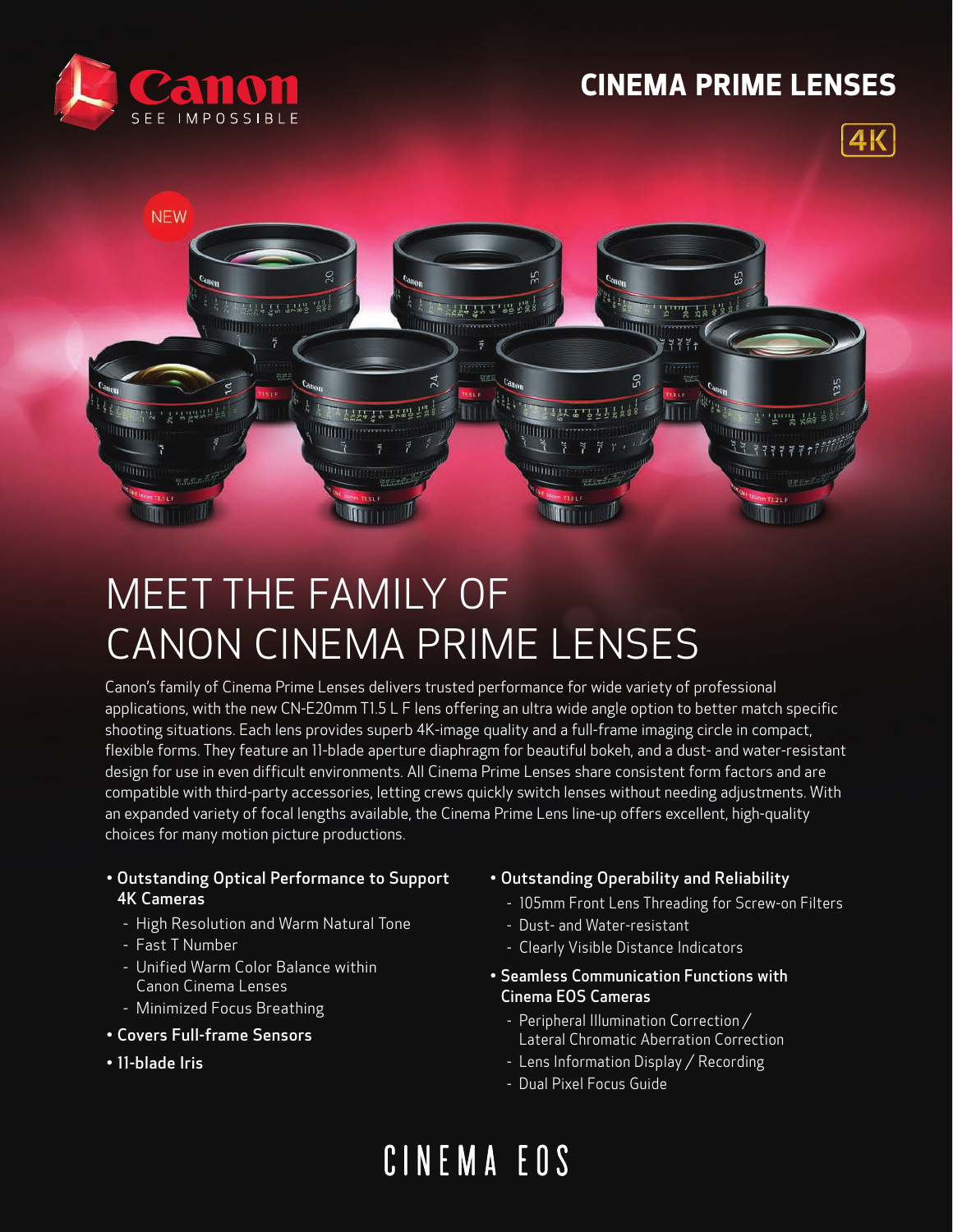### **CINEMA PRIME LENSES**







## MEET THE FAMILY OF CANON CINEMA PRIME LENSES

Canon's family of Cinema Prime Lenses delivers trusted performance for wide variety of professional applications, with the new CN-E20mm T1.5 L F lens offering an ultra wide angle option to better match specific shooting situations. Each lens provides superb 4K-image quality and a full-frame imaging circle in compact, flexible forms. They feature an 11-blade aperture diaphragm for beautiful bokeh, and a dust- and water-resistant design for use in even difficult environments. All Cinema Prime Lenses share consistent form factors and are compatible with third-party accessories, letting crews quickly switch lenses without needing adjustments. With an expanded variety of focal lengths available, the Cinema Prime Lens line-up offers excellent, high-quality choices for many motion picture productions.

- Outstanding Optical Performance to Support 4K Cameras
	- High Resolution and Warm Natural Tone
	- Fast T Number
	- Unified Warm Color Balance within Canon Cinema Lenses
	- Minimized Focus Breathing
- Covers Full-frame Sensors
- 11-blade Iris

### • Outstanding Operability and Reliability

- 105mm Front Lens Threading for Screw-on Filters
- Dust- and Water-resistant
- Clearly Visible Distance Indicators
- Seamless Communication Functions with Cinema EOS Cameras
	- Peripheral Illumination Correction / Lateral Chromatic Aberration Correction
	- Lens Information Display / Recording
	- Dual Pixel Focus Guide

# CINEMA EOS